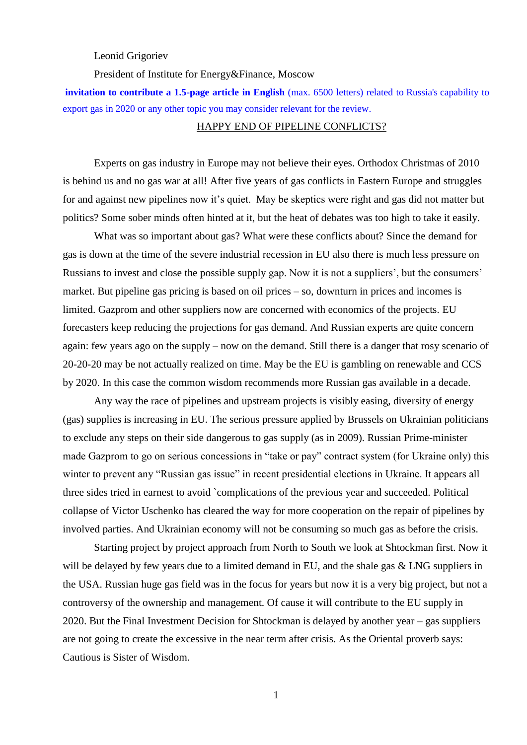Leonid Grigoriev

President of Institute for Energy&Finance, Moscow

**invitation to contribute a 1.5-page article in English** (max. 6500 letters) related to Russia's capability to export gas in 2020 or any other topic you may consider relevant for the review.

## HAPPY END OF PIPELINE CONFLICTS?

Experts on gas industry in Europe may not believe their eyes. Orthodox Christmas of 2010 is behind us and no gas war at all! After five years of gas conflicts in Eastern Europe and struggles for and against new pipelines now it's quiet. May be skeptics were right and gas did not matter but politics? Some sober minds often hinted at it, but the heat of debates was too high to take it easily.

What was so important about gas? What were these conflicts about? Since the demand for gas is down at the time of the severe industrial recession in EU also there is much less pressure on Russians to invest and close the possible supply gap. Now it is not a suppliers', but the consumers' market. But pipeline gas pricing is based on oil prices – so, downturn in prices and incomes is limited. Gazprom and other suppliers now are concerned with economics of the projects. EU forecasters keep reducing the projections for gas demand. And Russian experts are quite concern again: few years ago on the supply – now on the demand. Still there is a danger that rosy scenario of 20-20-20 may be not actually realized on time. May be the EU is gambling on renewable and CCS by 2020. In this case the common wisdom recommends more Russian gas available in a decade.

Any way the race of pipelines and upstream projects is visibly easing, diversity of energy (gas) supplies is increasing in EU. The serious pressure applied by Brussels on Ukrainian politicians to exclude any steps on their side dangerous to gas supply (as in 2009). Russian Prime-minister made Gazprom to go on serious concessions in "take or pay" contract system (for Ukraine only) this winter to prevent any "Russian gas issue" in recent presidential elections in Ukraine. It appears all three sides tried in earnest to avoid `complications of the previous year and succeeded. Political collapse of Victor Uschenko has cleared the way for more cooperation on the repair of pipelines by involved parties. And Ukrainian economy will not be consuming so much gas as before the crisis.

Starting project by project approach from North to South we look at Shtockman first. Now it will be delayed by few years due to a limited demand in EU, and the shale gas & LNG suppliers in the USA. Russian huge gas field was in the focus for years but now it is a very big project, but not a controversy of the ownership and management. Of cause it will contribute to the EU supply in 2020. But the Final Investment Decision for Shtockman is delayed by another year – gas suppliers are not going to create the excessive in the near term after crisis. As the Oriental proverb says: Cautious is Sister of Wisdom.

1